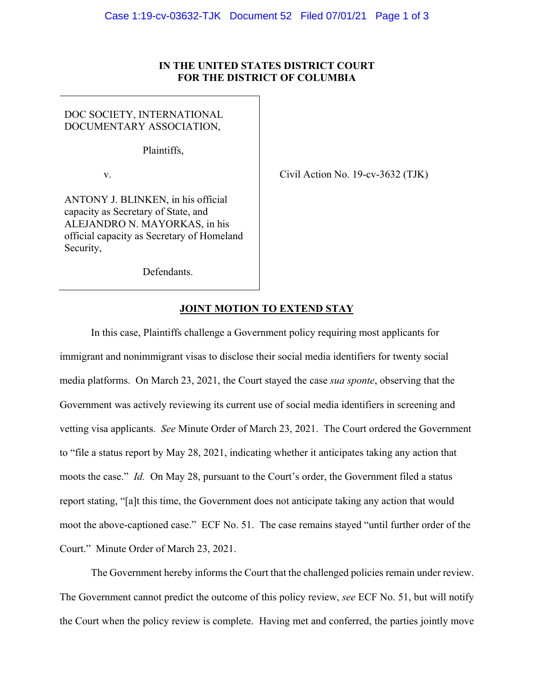## **IN THE UNITED STATES DISTRICT COURT FOR THE DISTRICT OF COLUMBIA**

## DOC SOCIETY, INTERNATIONAL DOCUMENTARY ASSOCIATION,

Plaintiffs,

v.  $\qquad \qquad$  Civil Action No. 19-cv-3632 (TJK)

ANTONY J. BLINKEN, in his official capacity as Secretary of State, and ALEJANDRO N. MAYORKAS, in his official capacity as Secretary of Homeland Security,

Defendants.

## **JOINT MOTION TO EXTEND STAY**

 In this case, Plaintiffs challenge a Government policy requiring most applicants for immigrant and nonimmigrant visas to disclose their social media identifiers for twenty social media platforms. On March 23, 2021, the Court stayed the case *sua sponte*, observing that the Government was actively reviewing its current use of social media identifiers in screening and vetting visa applicants. *See* Minute Order of March 23, 2021. The Court ordered the Government to "file a status report by May 28, 2021, indicating whether it anticipates taking any action that moots the case." *Id.* On May 28, pursuant to the Court's order, the Government filed a status report stating, "[a]t this time, the Government does not anticipate taking any action that would moot the above-captioned case." ECF No. 51. The case remains stayed "until further order of the Court." Minute Order of March 23, 2021.

 The Government hereby informs the Court that the challenged policies remain under review. The Government cannot predict the outcome of this policy review, *see* ECF No. 51, but will notify the Court when the policy review is complete. Having met and conferred, the parties jointly move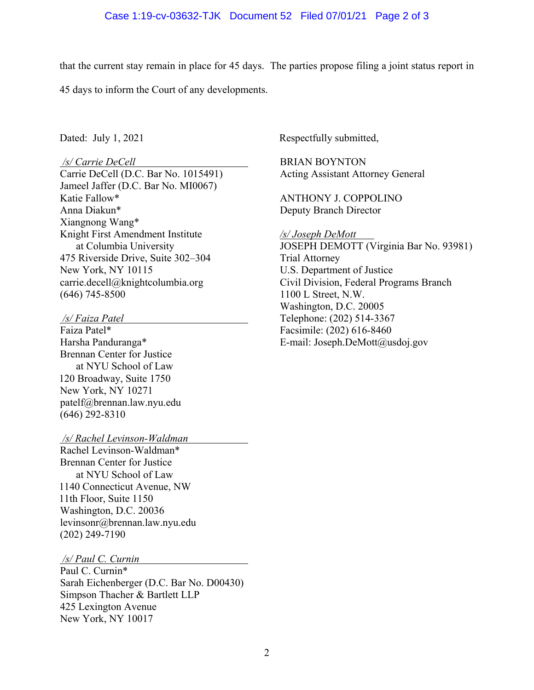that the current stay remain in place for 45 days. The parties propose filing a joint status report in

45 days to inform the Court of any developments.

## */s/ Carrie DeCell*

Carrie DeCell (D.C. Bar No. 1015491) Jameel Jaffer (D.C. Bar No. MI0067) Katie Fallow\* Anna Diakun\* Xiangnong Wang\* Knight First Amendment Institute at Columbia University 475 Riverside Drive, Suite 302–304 New York, NY 10115 carrie.decell@knightcolumbia.org (646) 745-8500

 */s/ Faiza Patel* 

Faiza Patel\* Harsha Panduranga\* Brennan Center for Justice at NYU School of Law 120 Broadway, Suite 1750 New York, NY 10271 patelf@brennan.law.nyu.edu (646) 292-8310

 */s/ Rachel Levinson-Waldman* 

Rachel Levinson-Waldman\* Brennan Center for Justice at NYU School of Law 1140 Connecticut Avenue, NW 11th Floor, Suite 1150 Washington, D.C. 20036 levinsonr@brennan.law.nyu.edu (202) 249-7190

 */s/ Paul C. Curnin* 

Paul C. Curnin\* Sarah Eichenberger (D.C. Bar No. D00430) Simpson Thacher & Bartlett LLP 425 Lexington Avenue New York, NY 10017

Dated: July 1, 2021 Respectfully submitted,

BRIAN BOYNTON Acting Assistant Attorney General

ANTHONY J. COPPOLINO Deputy Branch Director

*/s/ Joseph DeMott* 

JOSEPH DEMOTT (Virginia Bar No. 93981) Trial Attorney U.S. Department of Justice Civil Division, Federal Programs Branch 1100 L Street, N.W. Washington, D.C. 20005 Telephone: (202) 514-3367 Facsimile: (202) 616-8460 E-mail: Joseph.DeMott@usdoj.gov